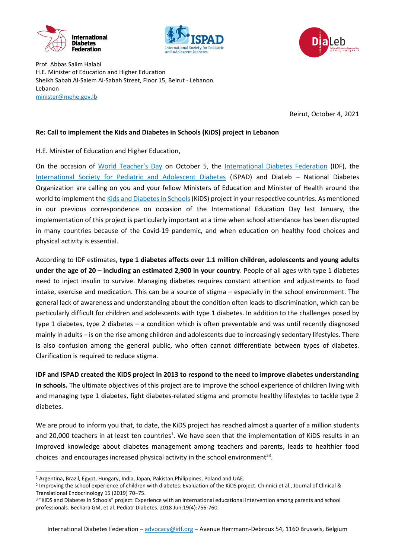





Prof. Abbas Salim Halabi H.E. Minister of Education and Higher Education Sheikh Sabah Al-Salem Al-Sabah Street, Floor 15, Beirut - Lebanon Lebanon [minister@mehe.gov.lb](mailto:minister@mehe.gov.lb)

Beirut, October 4, 2021

## **Re: Call to implement the Kids and Diabetes in Schools (KiDS) project in Lebanon**

H.E. Minister of Education and Higher Education,

On the occasion of [World Teacher's Day](https://en.unesco.org/commemorations/worldteachersday) on October 5, the [International Diabetes Federation](https://idf.org/) (IDF), the [International Society for Pediatric and Adolescent Diabetes](https://www.ispad.org/) (ISPAD) and DiaLeb – National Diabetes Organization are calling on you and your fellow Ministers of Education and Minister of Health around the world to implement the Kids and Diabetes in Schools (KiDS) project in your respective countries. As mentioned in our previous correspondence on occasion of the International Education Day last January, the implementation of this project is particularly important at a time when school attendance has been disrupted in many countries because of the Covid-19 pandemic, and when education on healthy food choices and physical activity is essential.

According to IDF estimates, **type 1 diabetes affects over 1.1 million children, adolescents and young adults under the age of 20 – including an estimated 2,900 in your country**. People of all ages with type 1 diabetes need to inject insulin to survive. Managing diabetes requires constant attention and adjustments to food intake, exercise and medication. This can be a source of stigma – especially in the school environment. The general lack of awareness and understanding about the condition often leads to discrimination, which can be particularly difficult for children and adolescents with type 1 diabetes. In addition to the challenges posed by type 1 diabetes, type 2 diabetes – a condition which is often preventable and was until recently diagnosed mainly in adults – is on the rise among children and adolescents due to increasingly sedentary lifestyles. There is also confusion among the general public, who often cannot differentiate between types of diabetes. Clarification is required to reduce stigma.

**IDF and ISPAD created the KiDS project in 2013 to respond to the need to improve diabetes understanding in schools.** The ultimate objectives of this project are to improve the school experience of children living with and managing type 1 diabetes, fight diabetes-related stigma and promote healthy lifestyles to tackle type 2 diabetes.

We are proud to inform you that, to date, the KiDS project has reached almost a quarter of a million students and 20,000 teachers in at least ten countries<sup>1</sup>. We have seen that the implementation of KiDS results in an improved knowledge about diabetes management among teachers and parents, leads to healthier food choices and encourages increased physical activity in the school environment<sup>23</sup>.

**.** 

<sup>1</sup> Argentina, Brazil, Egypt, Hungary, India, Japan, Pakistan,Philippines, Poland and UAE.

<sup>&</sup>lt;sup>2</sup> Improving the school experience of children with diabetes: Evaluation of the KiDS project. Chinnici et al., Journal of Clinical & Translational Endocrinology 15 (2019) 70–75.

<sup>3</sup> "KiDS and Diabetes in Schools" project: Experience with an international educational intervention among parents and school professionals. Bechara GM, et al. Pediatr Diabetes. 2018 Jun;19(4):756-760.